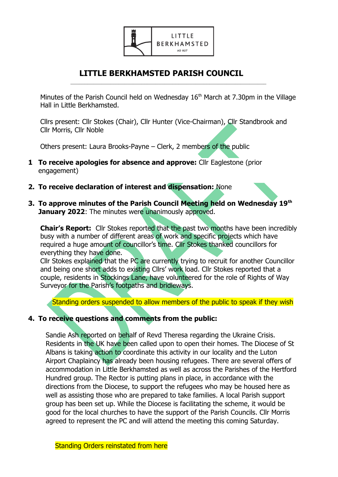

### **LITTLE BERKHAMSTED PARISH COUNCIL**  $\mathcal{L}_\text{max} = \frac{1}{2} \sum_{i=1}^{n} \frac{1}{2} \sum_{i=1}^{n} \frac{1}{2} \sum_{i=1}^{n} \frac{1}{2} \sum_{i=1}^{n} \frac{1}{2} \sum_{i=1}^{n} \frac{1}{2} \sum_{i=1}^{n} \frac{1}{2} \sum_{i=1}^{n} \frac{1}{2} \sum_{i=1}^{n} \frac{1}{2} \sum_{i=1}^{n} \frac{1}{2} \sum_{i=1}^{n} \frac{1}{2} \sum_{i=1}^{n} \frac{1}{2} \sum_{i=1}^{n} \frac{1$

Minutes of the Parish Council held on Wednesday  $16<sup>th</sup>$  March at 7.30pm in the Village Hall in Little Berkhamsted.

Cllrs present: Cllr Stokes (Chair), Cllr Hunter (Vice-Chairman), Cllr Standbrook and Cllr Morris, Cllr Noble

Others present: Laura Brooks-Payne – Clerk, 2 members of the public

- **1 To receive apologies for absence and approve:** Cllr Eaglestone (prior engagement)
- **2. To receive declaration of interest and dispensation:** None
- **3. To approve minutes of the Parish Council Meeting held on Wednesday 19th January 2022:** The minutes were unanimously approved.

**Chair's Report:** Cllr Stokes reported that the past two months have been incredibly busy with a number of different areas of work and specific projects which have required a huge amount of councillor's time. Cllr Stokes thanked councillors for everything they have done.

Cllr Stokes explained that the PC are currently trying to recruit for another Councillor and being one short adds to existing Cllrs' work load. Cllr Stokes reported that a couple, residents in Stockings Lane, have volunteered for the role of Rights of Way Surveyor for the Parish's footpaths and bridleways.

Standing orders suspended to allow members of the public to speak if they wish

## **4. To receive questions and comments from the public:**

Sandie Ash reported on behalf of Revd Theresa regarding the Ukraine Crisis. Residents in the UK have been called upon to open their homes. The Diocese of St Albans is taking action to coordinate this activity in our locality and the Luton Airport Chaplaincy has already been housing refugees. There are several offers of accommodation in Little Berkhamsted as well as across the Parishes of the Hertford Hundred group. The Rector is putting plans in place, in accordance with the directions from the Diocese, to support the refugees who may be housed here as well as assisting those who are prepared to take families. A local Parish support group has been set up. While the Diocese is facilitating the scheme, it would be good for the local churches to have the support of the Parish Councils. Cllr Morris agreed to represent the PC and will attend the meeting this coming Saturday.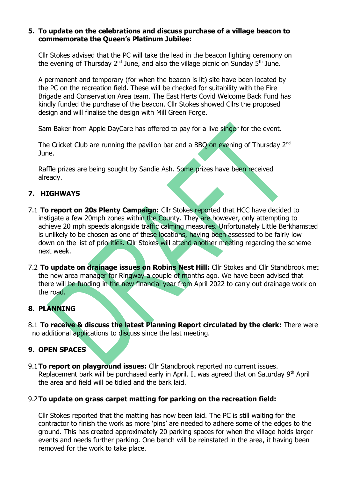### **5. To update on the celebrations and discuss purchase of a village beacon to commemorate the Queen's Platinum Jubilee:**

Cllr Stokes advised that the PC will take the lead in the beacon lighting ceremony on the evening of Thursday  $2^{nd}$  June, and also the village picnic on Sunday  $5^{th}$  June.

A permanent and temporary (for when the beacon is lit) site have been located by the PC on the recreation field. These will be checked for suitability with the Fire Brigade and Conservation Area team. The East Herts Covid Welcome Back Fund has kindly funded the purchase of the beacon. Cllr Stokes showed Cllrs the proposed design and will finalise the design with Mill Green Forge.

Sam Baker from Apple DayCare has offered to pay for a live singer for the event.

The Cricket Club are running the pavilion bar and a BBQ on evening of Thursday  $2^{nd}$ June.

Raffle prizes are being sought by Sandie Ash. Some prizes have been received already.

# **7. HIGHWAYS**

- 7.1 **To report on 20s Plenty Campaign:** Cllr Stokes reported that HCC have decided to instigate a few 20mph zones within the County. They are however, only attempting to achieve 20 mph speeds alongside traffic calming measures. Unfortunately Little Berkhamsted is unlikely to be chosen as one of these locations, having been assessed to be fairly low down on the list of priorities. Cllr Stokes will attend another meeting regarding the scheme next week.
- 7.2 **To update on drainage issues on Robins Nest Hill:** Cllr Stokes and Cllr Standbrook met the new area manager for Ringway a couple of months ago. We have been advised that there will be funding in the new financial year from April 2022 to carry out drainage work on the road.

# **8. PLANNING**

8.1 **To receive & discuss the latest Planning Report circulated by the clerk:** There were no additional applications to discuss since the last meeting.

## **9. OPEN SPACES**

9.1**To report on playground issues:** Cllr Standbrook reported no current issues. Replacement bark will be purchased early in April. It was agreed that on Saturday  $9<sup>th</sup>$  April the area and field will be tidied and the bark laid.

## 9.2**To update on grass carpet matting for parking on the recreation field:**

Cllr Stokes reported that the matting has now been laid. The PC is still waiting for the contractor to finish the work as more 'pins' are needed to adhere some of the edges to the ground. This has created approximately 20 parking spaces for when the village holds larger events and needs further parking. One bench will be reinstated in the area, it having been removed for the work to take place.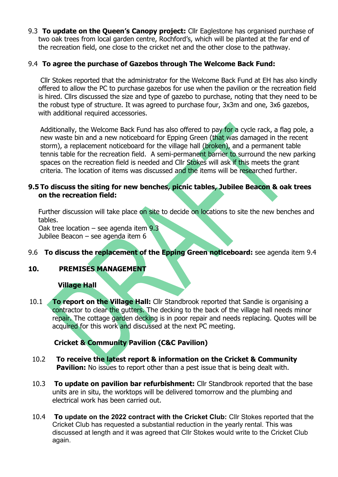9.3 **To update on the Queen's Canopy project:** Cllr Eaglestone has organised purchase of two oak trees from local garden centre, Rochford's, which will be planted at the far end of the recreation field, one close to the cricket net and the other close to the pathway.

## 9.4 **To agree the purchase of Gazebos through The Welcome Back Fund:**

 Cllr Stokes reported that the administrator for the Welcome Back Fund at EH has also kindly offered to allow the PC to purchase gazebos for use when the pavilion or the recreation field is hired. Cllrs discussed the size and type of gazebo to purchase, noting that they need to be the robust type of structure. It was agreed to purchase four, 3x3m and one, 3x6 gazebos, with additional required accessories.

Additionally, the Welcome Back Fund has also offered to pay for a cycle rack, a flag pole, a new waste bin and a new noticeboard for Epping Green (that was damaged in the recent storm), a replacement noticeboard for the village hall (broken), and a permanent table tennis table for the recreation field. A semi-permanent barrier to surround the new parking spaces on the recreation field is needed and Cllr Stokes will ask if this meets the grant criteria. The location of items was discussed and the items will be researched further.

## **9.5 To discuss the siting for new benches, picnic tables, Jubilee Beacon & oak trees on the recreation field:**

Further discussion will take place on site to decide on locations to site the new benches and tables.

Oak tree location – see agenda item 9.3 Jubilee Beacon – see agenda item 6

# 9.6 **To discuss the replacement of the Epping Green noticeboard:** see agenda item 9.4

## **10. PREMISES MANAGEMENT**

### **Village Hall**

10.1 **To report on the Village Hall:** Cllr Standbrook reported that Sandie is organising a contractor to clear the gutters. The decking to the back of the village hall needs minor repair. The cottage garden decking is in poor repair and needs replacing. Quotes will be acquired for this work and discussed at the next PC meeting.

# **Cricket & Community Pavilion (C&C Pavilion)**

- 10.2 **To receive the latest report & information on the Cricket & Community Pavilion:** No issues to report other than a pest issue that is being dealt with.
- 10.3 **To update on pavilion bar refurbishment:** Cllr Standbrook reported that the base units are in situ, the worktops will be delivered tomorrow and the plumbing and electrical work has been carried out.
- 10.4 **To update on the 2022 contract with the Cricket Club:** Cllr Stokes reported that the Cricket Club has requested a substantial reduction in the yearly rental. This was discussed at length and it was agreed that Cllr Stokes would write to the Cricket Club again.